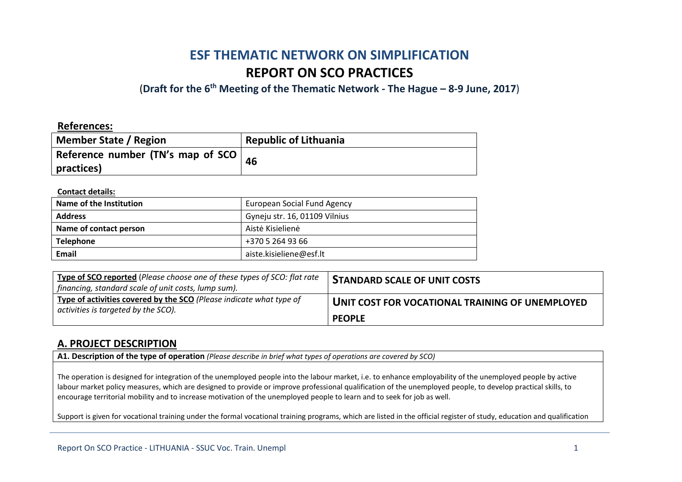# **ESF THEMATIC NETWORK ON SIMPLIFICATION REPORT ON SCO PRACTICES**

(**Draft for the 6th Meeting of the Thematic Network - The Hague – 8-9 June, 2017**)

### **References:**

| Member State / Region                        | <b>Republic of Lithuania</b> |
|----------------------------------------------|------------------------------|
| Reference number (TN's map of SCO $\vert$ 46 |                              |
| practices)                                   |                              |

### **Contact details:**

| Name of the Institution | <b>European Social Fund Agency</b> |
|-------------------------|------------------------------------|
| <b>Address</b>          | Gyneju str. 16, 01109 Vilnius      |
| Name of contact person  | Aistė Kisielienė                   |
| <b>Telephone</b>        | +370 5 264 93 66                   |
| Email                   | aiste.kisieliene@esf.lt            |

| Type of SCO reported (Please choose one of these types of SCO: flat rate<br>financing, standard scale of unit costs, lump sum). | <b>STANDARD SCALE OF UNIT COSTS</b>             |
|---------------------------------------------------------------------------------------------------------------------------------|-------------------------------------------------|
| Type of activities covered by the SCO (Please indicate what type of<br>activities is targeted by the SCO).                      | UNIT COST FOR VOCATIONAL TRAINING OF UNEMPLOYED |
|                                                                                                                                 | <b>PEOPLE</b>                                   |

### **A. PROJECT DESCRIPTION**

**A1. Description of the type of operation** *(Please describe in brief what types of operations are covered by SCO)*

The operation is designed for integration of the unemployed people into the labour market, i.e. to enhance employability of the unemployed people by active labour market policy measures, which are designed to provide or improve professional qualification of the unemployed people, to develop practical skills, to encourage territorial mobility and to increase motivation of the unemployed people to learn and to seek for job as well.

Support is given for vocational training under the formal vocational training programs, which are listed in the official register of study, education and qualification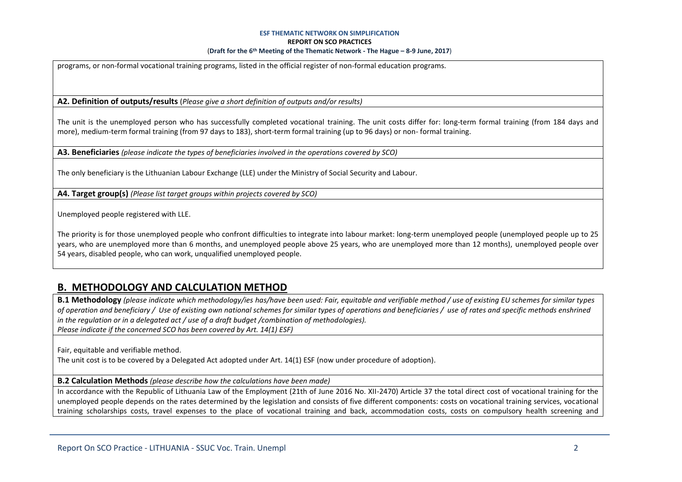programs, or non-formal vocational training programs, listed in the official register of non-formal education programs.

**A2. Definition of outputs/results** (*Please give a short definition of outputs and/or results)*

The unit is the unemployed person who has successfully completed vocational training. The unit costs differ for: long-term formal training (from 184 days and more), medium-term formal training (from 97 days to 183), short-term formal training (up to 96 days) or non- formal training.

**A3. Beneficiaries** *(please indicate the types of beneficiaries involved in the operations covered by SCO)*

The only beneficiary is the Lithuanian Labour Exchange (LLE) under the Ministry of Social Security and Labour.

**A4. Target group(s)** *(Please list target groups within projects covered by SCO)*

Unemployed people registered with LLE.

The priority is for those unemployed people who confront difficulties to integrate into labour market: long-term unemployed people (unemployed people up to 25 years, who are unemployed more than 6 months, and unemployed people above 25 years, who are unemployed more than 12 months), unemployed people over 54 years, disabled people, who can work, unqualified unemployed people.

# **B. METHODOLOGY AND CALCULATION METHOD**

**B.1 Methodology** *(please indicate which methodology/ies has/have been used: Fair, equitable and verifiable method / use of existing EU schemes for similar types of operation and beneficiary / Use of existing own national schemes for similar types of operations and beneficiaries / use of rates and specific methods enshrined in the regulation or in a delegated act / use of a draft budget /combination of methodologies). Please indicate if the concerned SCO has been covered by Art. 14(1) ESF)*

Fair, equitable and verifiable method.

The unit cost is to be covered by a Delegated Act adopted under Art. 14(1) ESF (now under procedure of adoption).

**B.2 Calculation Methods** *(please describe how the calculations have been made)*

In accordance with the Republic of Lithuania Law of the Employment (21th of June 2016 No. XII-2470) Article 37 the total direct cost of vocational training for the unemployed people depends on the rates determined by the legislation and consists of five different components: costs on vocational training services, vocational training scholarships costs, travel expenses to the place of vocational training and back, accommodation costs, costs on compulsory health screening and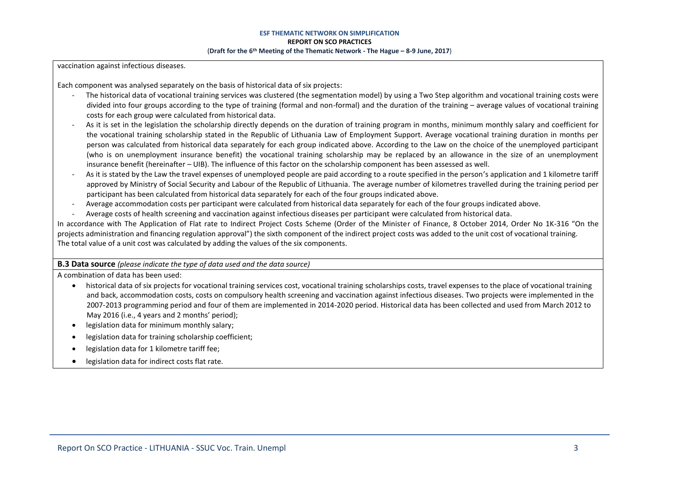vaccination against infectious diseases.

Each component was analysed separately on the basis of historical data of six projects:

- The historical data of vocational training services was clustered (the segmentation model) by using a Two Step algorithm and vocational training costs were divided into four groups according to the type of training (formal and non-formal) and the duration of the training – average values of vocational training costs for each group were calculated from historical data.
- As it is set in the legislation the scholarship directly depends on the duration of training program in months, minimum monthly salary and coefficient for the vocational training scholarship stated in the Republic of Lithuania Law of Employment Support. Average vocational training duration in months per person was calculated from historical data separately for each group indicated above. According to the Law on the choice of the unemployed participant (who is on unemployment insurance benefit) the vocational training scholarship may be replaced by an allowance in the size of an unemployment insurance benefit (hereinafter – UIB). The influence of this factor on the scholarship component has been assessed as well.
- As it is stated by the Law the travel expenses of unemployed people are paid according to a route specified in the person's application and 1 kilometre tariff approved by Ministry of Social Security and Labour of the Republic of Lithuania. The average number of kilometres travelled during the training period per participant has been calculated from historical data separately for each of the four groups indicated above.
- Average accommodation costs per participant were calculated from historical data separately for each of the four groups indicated above.
- Average costs of health screening and vaccination against infectious diseases per participant were calculated from historical data.

In accordance with The Application of Flat rate to Indirect Project Costs Scheme (Order of the Minister of Finance, 8 October 2014, Order No 1K-316 "On the projects administration and financing regulation approval") the sixth component of the indirect project costs was added to the unit cost of vocational training. The total value of a unit cost was calculated by adding the values of the six components.

### **B.3 Data source** *(please indicate the type of data used and the data source)*

A combination of data has been used:

- historical data of six projects for vocational training services cost, vocational training scholarships costs, travel expenses to the place of vocational training and back, accommodation costs, costs on compulsory health screening and vaccination against infectious diseases. Two projects were implemented in the 2007-2013 programming period and four of them are implemented in 2014-2020 period. Historical data has been collected and used from March 2012 to May 2016 (i.e., 4 years and 2 months' period);
- legislation data for minimum monthly salary;
- legislation data for training scholarship coefficient;
- legislation data for 1 kilometre tariff fee;
- legislation data for indirect costs flat rate.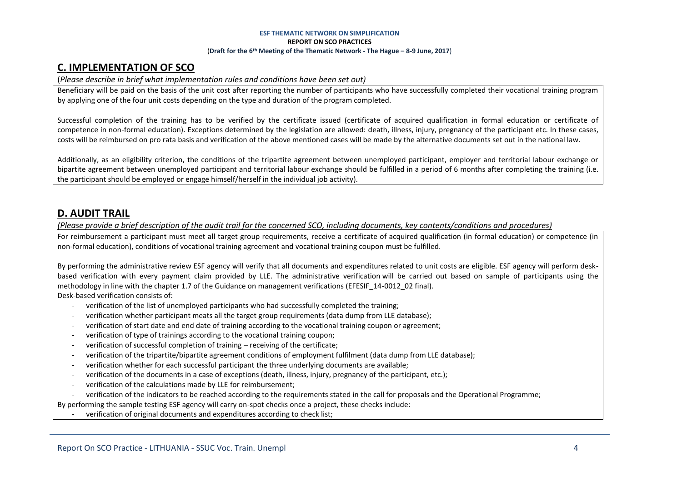## **C. IMPLEMENTATION OF SCO**

### (*Please describe in brief what implementation rules and conditions have been set out)*

Beneficiary will be paid on the basis of the unit cost after reporting the number of participants who have successfully completed their vocational training program by applying one of the four unit costs depending on the type and duration of the program completed.

Successful completion of the training has to be verified by the certificate issued (certificate of acquired qualification in formal education or certificate of competence in non-formal education). Exceptions determined by the legislation are allowed: death, illness, injury, pregnancy of the participant etc. In these cases, costs will be reimbursed on pro rata basis and verification of the above mentioned cases will be made by the alternative documents set out in the national law.

Additionally, as an eligibility criterion, the conditions of the tripartite agreement between unemployed participant, employer and territorial labour exchange or bipartite agreement between unemployed participant and territorial labour exchange should be fulfilled in a period of 6 months after completing the training (i.e. the participant should be employed or engage himself/herself in the individual job activity).

## **D. AUDIT TRAIL**

*(Please provide a brief description of the audit trail for the concerned SCO, including documents, key contents/conditions and procedures)*

For reimbursement a participant must meet all target group requirements, receive a certificate of acquired qualification (in formal education) or competence (in non-formal education), conditions of vocational training agreement and vocational training coupon must be fulfilled.

By performing the administrative review ESF agency will verify that all documents and expenditures related to unit costs are eligible. ESF agency will perform deskbased verification with every payment claim provided by LLE. The administrative verification will be carried out based on sample of participants using the methodology in line with the chapter 1.7 of the Guidance on management verifications (EFESIF\_14-0012\_02 final). Desk-based verification consists of:

- verification of the list of unemployed participants who had successfully completed the training;
- verification whether participant meats all the target group requirements (data dump from LLE database);
- verification of start date and end date of training according to the vocational training coupon or agreement;
- verification of type of trainings according to the vocational training coupon;
- verification of successful completion of training receiving of the certificate;
- verification of the tripartite/bipartite agreement conditions of employment fulfilment (data dump from LLE database);
- verification whether for each successful participant the three underlying documents are available;
- verification of the documents in a case of exceptions (death, illness, injury, pregnancy of the participant, etc.);
- verification of the calculations made by LLE for reimbursement;
- verification of the indicators to be reached according to the requirements stated in the call for proposals and the Operational Programme;

By performing the sample testing ESF agency will carry on-spot checks once a project, these checks include:

- verification of original documents and expenditures according to check list;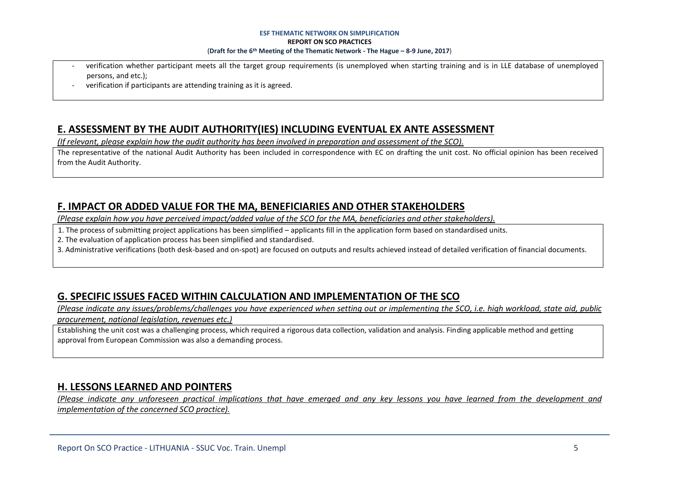- verification whether participant meets all the target group requirements (is unemployed when starting training and is in LLE database of unemployed persons, and etc.);
- verification if participants are attending training as it is agreed.

### **E. ASSESSMENT BY THE AUDIT AUTHORITY(IES) INCLUDING EVENTUAL EX ANTE ASSESSMENT**

*(If relevant, please explain how the audit authority has been involved in preparation and assessment of the SCO).* 

The representative of the national Audit Authority has been included in correspondence with EC on drafting the unit cost. No official opinion has been received from the Audit Authority.

# **F. IMPACT OR ADDED VALUE FOR THE MA, BENEFICIARIES AND OTHER STAKEHOLDERS**

*(Please explain how you have perceived impact/added value of the SCO for the MA, beneficiaries and other stakeholders).* 

- 1. The process of submitting project applications has been simplified – applicants fill in the application form based on standardised units.

2. The evaluation of application process has been simplified and standardised.

3. Administrative verifications (both desk-based and on-spot) are focused on outputs and results achieved instead of detailed verification of financial documents.

# **G. SPECIFIC ISSUES FACED WITHIN CALCULATION AND IMPLEMENTATION OF THE SCO**

*(Please indicate any issues/problems/challenges you have experienced when setting out or implementing the SCO, i.e. high workload, state aid, public procurement, national legislation, revenues etc.)*

Establishing the unit cost was a challenging process, which required a rigorous data collection, validation and analysis. Finding applicable method and getting approval from European Commission was also a demanding process.

# **H. LESSONS LEARNED AND POINTERS**

*(Please indicate any unforeseen practical implications that have emerged and any key lessons you have learned from the development and implementation of the concerned SCO practice).*